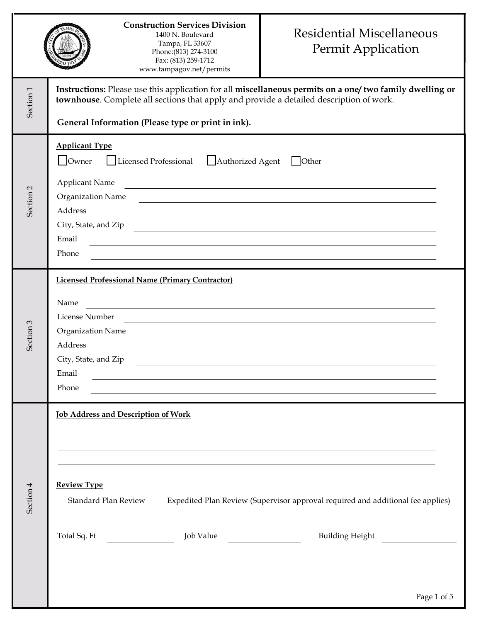|                      | <b>Construction Services Division</b><br>1400 N. Boulevard<br>Tampa, FL 33607<br>Phone: (813) 274-3100<br>Fax: (813) 259-1712<br>www.tampagov.net/permits                                                                                                                                                                                     | <b>Residential Miscellaneous</b><br>Permit Application                                                                                |  |  |  |
|----------------------|-----------------------------------------------------------------------------------------------------------------------------------------------------------------------------------------------------------------------------------------------------------------------------------------------------------------------------------------------|---------------------------------------------------------------------------------------------------------------------------------------|--|--|--|
| Section <sub>1</sub> | Instructions: Please use this application for all miscellaneous permits on a one/ two family dwelling or<br>townhouse. Complete all sections that apply and provide a detailed description of work.<br>General Information (Please type or print in ink).                                                                                     |                                                                                                                                       |  |  |  |
| Section <sub>2</sub> | <b>Applicant Type</b><br>Owner<br>Licensed Professional<br>Authorized Agent<br><b>Applicant Name</b><br>Organization Name<br>Address<br><u> 1989 - Johann Stein, marwolaethau a bhann an t-Amhair ann an t-Amhair an t-Amhair an t-Amhair an t-Amhair an</u><br>City, State, and Zip<br>Email<br>Phone                                        | $\vert$ Other<br><u> 1989 - Johann Stein, marwolaethau a bhann an t-Amhainn an t-Amhainn an t-Amhainn an t-Amhainn an t-Amhainn a</u> |  |  |  |
| Section 3            | <b>Licensed Professional Name (Primary Contractor)</b><br>Name<br>License Number<br>Organization Name<br>Address<br>City, State, and Zip<br>Email<br><u> 1989 - Johann Stoff, amerikansk politiker (d. 1989)</u><br>Phone<br>and the control of the control of the control of the control of the control of the control of the control of the | the control of the control of the control of the control of the control of the control of                                             |  |  |  |
| Section 4            | <b>Job Address and Description of Work</b><br><u> 1989 - Johann Stoff, deutscher Stoff, der Stoff, der Stoff, der Stoff, der Stoff, der Stoff, der Stoff, der S</u><br><b>Review Type</b><br>Standard Plan Review Expedited Plan Review (Supervisor approval required and additional fee applies)<br>Job Value                                | Building Height                                                                                                                       |  |  |  |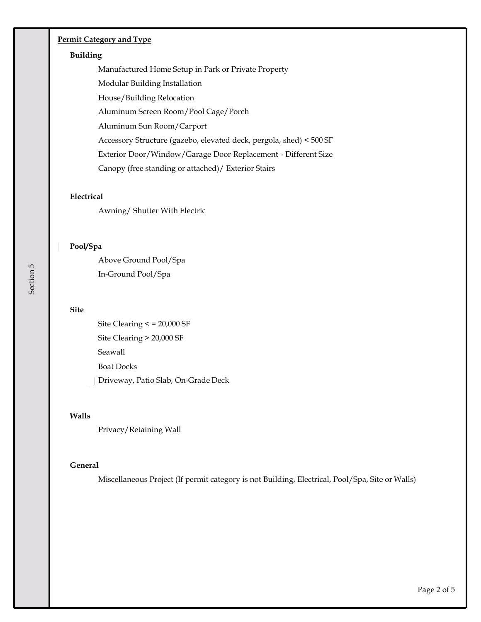# **Permit Category and Type**

#### **Building**

Manufactured Home Setup in Park or Private Property

Modular Building Installation

House/Building Relocation

Aluminum Screen Room/Pool Cage/Porch

Aluminum Sun Room/Carport

Accessory Structure (gazebo, elevated deck, pergola, shed) < 500 SF

Exterior Door/Window/Garage Door Replacement - Different Size

Canopy (free standing or attached)/ Exterior Stairs

#### **Electrical**

Awning/ Shutter With Electric

## **Pool/Spa**

Above Ground Pool/Spa In-Ground Pool/Spa

#### **Site**

Site Clearing < = 20,000 SF Site Clearing > 20,000 SF Seawall Boat Docks Driveway, Patio Slab, On-Grade Deck

## **Walls**

Privacy/Retaining Wall

## **General**

Miscellaneous Project (If permit category is not Building, Electrical, Pool/Spa, Site or Walls)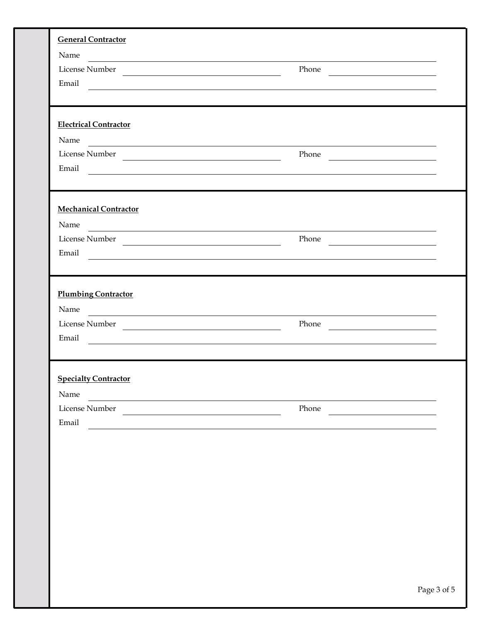| <b>General Contractor</b>                                                                                                                                                                                                      |                                                                                                                                                                                                                                      |
|--------------------------------------------------------------------------------------------------------------------------------------------------------------------------------------------------------------------------------|--------------------------------------------------------------------------------------------------------------------------------------------------------------------------------------------------------------------------------------|
| Name                                                                                                                                                                                                                           |                                                                                                                                                                                                                                      |
| License Number                                                                                                                                                                                                                 | Phone                                                                                                                                                                                                                                |
| Email                                                                                                                                                                                                                          |                                                                                                                                                                                                                                      |
| <b>Electrical Contractor</b>                                                                                                                                                                                                   |                                                                                                                                                                                                                                      |
| Name and the state of the state of the state of the state of the state of the state of the state of the state of the state of the state of the state of the state of the state of the state of the state of the state of the s |                                                                                                                                                                                                                                      |
| License Number                                                                                                                                                                                                                 | Phone                                                                                                                                                                                                                                |
|                                                                                                                                                                                                                                | Email and the contract of the contract of the contract of the contract of the contract of the contract of the contract of the contract of the contract of the contract of the contract of the contract of the contract of the        |
| <b>Mechanical Contractor</b>                                                                                                                                                                                                   |                                                                                                                                                                                                                                      |
| Name                                                                                                                                                                                                                           |                                                                                                                                                                                                                                      |
|                                                                                                                                                                                                                                | Phone                                                                                                                                                                                                                                |
| Email                                                                                                                                                                                                                          |                                                                                                                                                                                                                                      |
|                                                                                                                                                                                                                                |                                                                                                                                                                                                                                      |
| <b>Plumbing Contractor</b>                                                                                                                                                                                                     |                                                                                                                                                                                                                                      |
| Name                                                                                                                                                                                                                           |                                                                                                                                                                                                                                      |
| License Number                                                                                                                                                                                                                 |                                                                                                                                                                                                                                      |
|                                                                                                                                                                                                                                | Email <u>International Communications of the set of the set of the set of the set of the set of the set of the set of the set of the set of the set of the set of the set of the set of the set of the set of the set of the set</u> |
| <b>Specialty Contractor</b>                                                                                                                                                                                                    |                                                                                                                                                                                                                                      |
| Name                                                                                                                                                                                                                           |                                                                                                                                                                                                                                      |
| License Number                                                                                                                                                                                                                 | Phone                                                                                                                                                                                                                                |
| Email                                                                                                                                                                                                                          |                                                                                                                                                                                                                                      |
|                                                                                                                                                                                                                                |                                                                                                                                                                                                                                      |
|                                                                                                                                                                                                                                |                                                                                                                                                                                                                                      |
|                                                                                                                                                                                                                                |                                                                                                                                                                                                                                      |
|                                                                                                                                                                                                                                |                                                                                                                                                                                                                                      |
|                                                                                                                                                                                                                                |                                                                                                                                                                                                                                      |
|                                                                                                                                                                                                                                |                                                                                                                                                                                                                                      |
|                                                                                                                                                                                                                                |                                                                                                                                                                                                                                      |
|                                                                                                                                                                                                                                |                                                                                                                                                                                                                                      |
|                                                                                                                                                                                                                                |                                                                                                                                                                                                                                      |
|                                                                                                                                                                                                                                |                                                                                                                                                                                                                                      |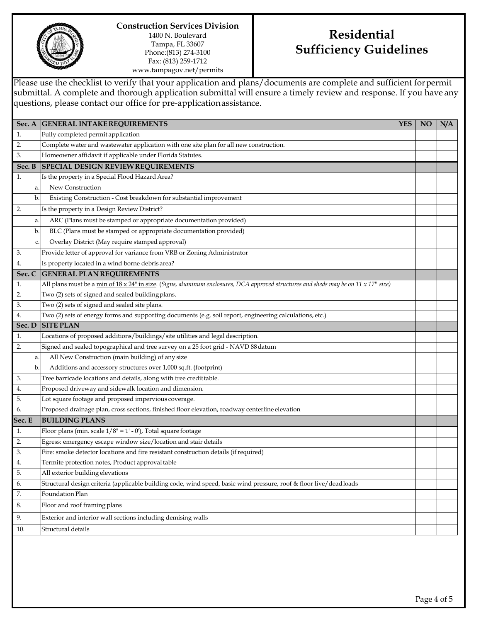

**Construction Services Division** 1400 N. Boulevard Tampa, FL 33607 Phone:(813) 274-3100 Fax: (813) 259-1712 www.tampagov.net/permits

# **Residential Sufficiency Guidelines**

Please use the checklist to verify that your application and plans/documents are complete and sufficient forpermit submittal. A complete and thorough application submittal will ensure a timely review and response. If you have any questions, please contact our office for pre-applicationassistance.

|        | Sec. A GENERAL INTAKE REQUIREMENTS                                                                                                   | <b>YES</b> | <b>NO</b> | N/A |
|--------|--------------------------------------------------------------------------------------------------------------------------------------|------------|-----------|-----|
| 1.     | Fully completed permit application                                                                                                   |            |           |     |
| 2.     | Complete water and wastewater application with one site plan for all new construction.                                               |            |           |     |
| 3.     | Homeowner affidavit if applicable under Florida Statutes.                                                                            |            |           |     |
| Sec. B | <b>SPECIAL DESIGN REVIEW REQUIREMENTS</b>                                                                                            |            |           |     |
| 1.     | Is the property in a Special Flood Hazard Area?                                                                                      |            |           |     |
| a.     | New Construction                                                                                                                     |            |           |     |
| b.     | Existing Construction - Cost breakdown for substantial improvement                                                                   |            |           |     |
| 2.     | Is the property in a Design Review District?                                                                                         |            |           |     |
| a.     | ARC (Plans must be stamped or appropriate documentation provided)                                                                    |            |           |     |
| b.     | BLC (Plans must be stamped or appropriate documentation provided)                                                                    |            |           |     |
| c.     | Overlay District (May require stamped approval)                                                                                      |            |           |     |
| 3.     | Provide letter of approval for variance from VRB or Zoning Administrator                                                             |            |           |     |
| 4.     | Is property located in a wind borne debris area?                                                                                     |            |           |     |
| Sec. C | <b>GENERAL PLAN REQUIREMENTS</b>                                                                                                     |            |           |     |
| 1.     | All plans must be a min of 18 x 24" in size. (Signs, aluminum enclosures, DCA approved structures and sheds may be on 11 x 17" size) |            |           |     |
| 2.     | Two (2) sets of signed and sealed building plans.                                                                                    |            |           |     |
| 3.     | Two (2) sets of signed and sealed site plans.                                                                                        |            |           |     |
| 4.     | Two (2) sets of energy forms and supporting documents (e.g. soil report, engineering calculations, etc.)                             |            |           |     |
| Sec. D | <b>SITE PLAN</b>                                                                                                                     |            |           |     |
| 1.     | Locations of proposed additions/buildings/site utilities and legal description.                                                      |            |           |     |
| 2.     | Signed and sealed topographical and tree survey on a 25 foot grid - NAVD 88 datum                                                    |            |           |     |
| a.     | All New Construction (main building) of any size                                                                                     |            |           |     |
| b.     | Additions and accessory structures over 1,000 sq.ft. (footprint)                                                                     |            |           |     |
| 3.     | Tree barricade locations and details, along with tree credit table.                                                                  |            |           |     |
| 4.     | Proposed driveway and sidewalk location and dimension.                                                                               |            |           |     |
| 5.     | Lot square footage and proposed impervious coverage.                                                                                 |            |           |     |
| 6.     | Proposed drainage plan, cross sections, finished floor elevation, roadway centerline elevation                                       |            |           |     |
| Sec. E | <b>BUILDING PLANS</b>                                                                                                                |            |           |     |
| 1.     | Floor plans (min. scale $1/8$ " = 1' - 0'), Total square footage                                                                     |            |           |     |
| 2.     | Egress: emergency escape window size/location and stair details                                                                      |            |           |     |
| 3.     | Fire: smoke detector locations and fire resistant construction details (if required)                                                 |            |           |     |
| 4.     | Termite protection notes, Product approval table                                                                                     |            |           |     |
| 5.     | All exterior building elevations                                                                                                     |            |           |     |
| 6.     | Structural design criteria (applicable building code, wind speed, basic wind pressure, roof & floor live/deadloads                   |            |           |     |
| 7.     | Foundation Plan                                                                                                                      |            |           |     |
| 8.     | Floor and roof framing plans                                                                                                         |            |           |     |
| 9.     | Exterior and interior wall sections including demising walls                                                                         |            |           |     |
| 10.    | Structural details                                                                                                                   |            |           |     |
|        |                                                                                                                                      |            |           |     |